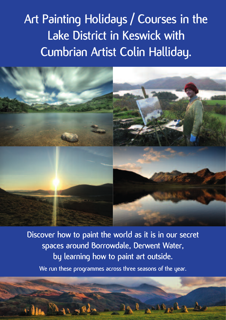# **Art Painting Holidays / Courses in the Lake District in Keswick with Cumbrian Artist Colin Halliday.**

**Discover how to paint the world as it is in our secret spaces around Borrowdale, Derwent Water, by learning how to paint art outside. We run these programmes across three seasons of the year.**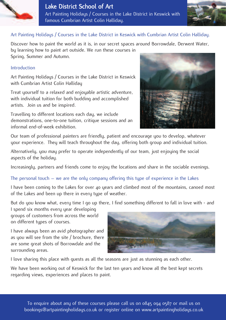



# Art Painting Holidays / Courses in the Lake District in Keswick with Cumbrian Artist Colin Halliday.

Discover how to paint the world as it is, in our secret spaces around Borrowdale, Derwent Water, by learning how to paint art outside. We run these courses in Spring, Summer and Autumn.

#### Introduction

Art Painting Holidays / Courses in the Lake District in Keswick with Cumbrian Artist Colin Halliday

Treat yourself to a relaxed and enjoyable artistic adventure, with individual tuition for both budding and accomplished artists. Join us and be inspired.

Travelling to different locations each day, we include demonstrations, one-to-one tuition, critique sessions and an informal end-of-week exhibition.



Our team of professional painters are friendly, patient and encourage you to develop, whatever your experience. They will teach throughout the day, offering both group and individual tuition.

Alternatively, you may prefer to operate independently of our team, just enjoying the social aspects of the holiday.

Increasingly, partners and friends come to enjoy the locations and share in the sociable evenings.

The personal touch – we are the only company offering this type of experience in the Lakes

I have been coming to the Lakes for over 40 years and climbed most of the mountains, canoed most of the Lakes and been up there in every type of weather.

But do you know what, every time I go up there, I find something different to fall in love with - and

I spend six months every year developing groups of customers from across the world on different types of courses.

I have always been an avid photographer and as you will see from the site / brochure, there are some great shots of Borrowdale and the surrounding areas.



I love sharing this place with guests as all the seasons are just as stunning as each other.

We have been working out of Keswick for the last ten years and know all the best kept secrets regarding views, experiences and places to paint.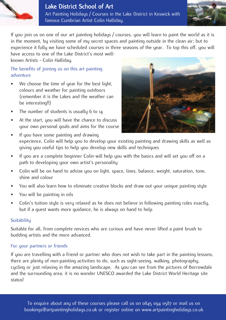



If you join us on one of our art painting holidays / courses, you will learn to paint the world as it is in the moment, by visiting some of my secret spaces and painting outside in the clean air; but to

experience it fully we have scheduled courses in three seasons of the year. To top this off, you will have access to one of the Lake District's most wellknown Artists - Colin Halliday.

# The benefits of joining us on this art painting adventure

- We choose the time of year for the best light, colours and weather for painting outdoors (remember it is the Lakes and the weather can be interesting!!)
- The number of students is usually 6 to 14
- At the start, you will have the chance to discuss your own personal goals and aims for the course



- If you have some painting and drawing experience, Colin will help you to develop your existing painting and drawing skills as well as giving you useful tips to help you develop new skills and techniques
- If you are a complete beginner Colin will help you with the basics and will set you off on a path to developing your own artist's personality
- Colin will be on hand to advise you on light, space, lines, balance, weight, saturation, tone, shine and colour
- You will also learn how to eliminate creative blocks and draw out your unique painting style
- You will be painting in oils
- Colin's tuition style is very relaxed as he does not believe in following painting rules exactly, but if a guest wants more guidance, he is always on hand to help

# **Suitability**

Suitable for all, from complete novices who are curious and have never lifted a paint brush to budding artists and the more advanced.

# For your partners or friends

If you are travelling with a friend or partner who does not wish to take part in the painting lessons, there are plenty of non-painting activities to do, such as sight-seeing, walking, photography, cycling or just relaxing in the amazing landscape. As you can see from the pictures of Borrowdale and the surrounding area, it is no wonder UNESCO awarded the Lake District World Heritage site status!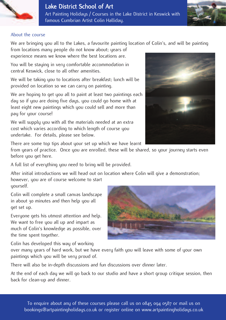

#### About the course

We are bringing you all to the Lakes, a favourite painting location of Colin's, and will be painting

from locations many people do not know about; years of experience means we know where the best locations are.

You will be stauing in very comfortable accommodation in central Keswick, close to all other amenities.

We will be taking you to locations after breakfast; lunch will be provided on location so we can carry on painting.

We are hoping to get you all to paint at least two paintings each day so if you are doing five days, you could go home with at least eight new paintings which you could sell and more than pay for your course!

We will supply you with all the materials needed at an extra cost which varies according to which length of course you undertake. For details, please see below.

There are some top tips about your set up which we have learnt

from years of practice. Once you are enrolled, these will be shared, so your journey starts even before you get here.

A full list of everything you need to bring will be provided.

After initial introductions we will head out on location where Colin will give a demonstration;

however, you are of course welcome to start yourself.

Colin will complete a small canvas landscape in about 30 minutes and then help you all get set up.

Everyone gets his utmost attention and help. We want to free you all up and impart as much of Colin's knowledge as possible, over the time spent together.

Colin has developed this way of working

over many years of hard work, but we have every faith you will leave with some of your own paintings which you will be very proud of.

There will also be in-depth discussions and fun discussions over dinner later.

At the end of each day we will go back to our studio and have a short group critique session, then back for clean-up and dinner.







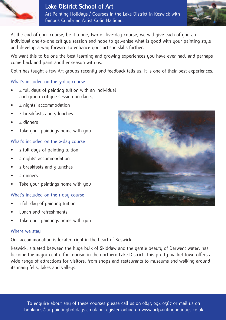

At the end of your course, be it a one, two or five-day course, we will give each of you an individual one-to-one critique session and hope to galvanise what is good with your painting style and develop a way forward to enhance your artistic skills further.

We want this to be one the best learning and growing experiences you have ever had, and perhaps come back and paint another season with us.

Colin has taught a few Art groups recently and feedback tells us, it is one of their best experiences.

# What's included on the 5-day course

- 4 full days of painting tuition with an individual and group critique session on day 5
- 4 nights' accommodation
- 4 breakfasts and 5 lunches
- 4 dinners
- Take your paintings home with you

# What's included on the 2-day course

- 2 full days of painting tuition
- 2 nights' accommodation
- 2 breakfasts and 3 lunches
- 2 dinners
- Take your paintings home with you

# What's included on the 1-day course

- 1 full day of painting tuition
- Lunch and refreshments
- Take your paintings home with you

# Where we stay

Our accommodation is located right in the heart of Keswick.

Keswick, situated between the huge bulk of Skiddaw and the gentle beauty of Derwent water, has become the major centre for tourism in the northern Lake District. This pretty market town offers a wide range of attractions for visitors, from shops and restaurants to museums and walking around its many fells, lakes and valleys.

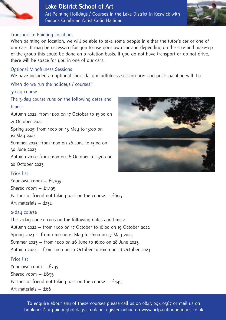



#### Transport to Painting Locations

When painting on location, we will be able to take some people in either the tutor's car or one of our cars. It may be necessary for you to use your own car and depending on the size and make-up of the group this could be done on a rotation basis. If you do not have transport or do not drive, there will be space for you in one of our cars.

#### Optional Mindfulness Sessions

We have included an optional short daily mindfulness session pre- and post- painting with Liz.

# When do we run the holidays / courses?

#### 5-day course

The 5-day course runs on the following dates and times:

Autumn 2022: from 11:00 on 17 October to 13:00 on 21 October 2022

Spring 2023: from 11:00 on 15 May to 13:00 on 19 May 2023

Summer 2023: from 11:00 on 26 June to 13:00 on 30 June 2023

Autumn 2023: from 11:00 on 16 October to 13:00 on 20 October 2023

# Price list

Your own room  $-$  £1,295 Shared room  $-$  £1,195 Partner or friend not taking part on the course  $-$  £695 Art materials – £132

# 2-day course

The 2-day course runs on the following dates and times: Autumn 2022 – from 11:00 on 17 October to 16:00 on 19 October 2022 Spring 2023 – from 11:00 on 15 May to 16:00 on 17 May 2023 Summer 2023 – from 11:00 on 26 June to 16:00 on 28 June 2023 Autumn 2023 – from 11:00 on 16 October to 16:00 on 18 October 2023 Price list

Your own room  $-$  £795 Shared room  $-$  £695 Partner or friend not taking part on the course  $-$  £445 Art materials – £66

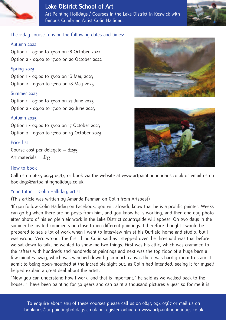



#### The 1-day course runs on the following dates and times:

#### Autumn 2022

Option 1 - 09:00 to 17:00 on 18 October 2022 Option 2 - 09:00 to 17:00 on 20 October 2022

#### Spring 2023

Option 1 - 09:00 to 17:00 on 16 May 2023 Option 2 - 09:00 to 17:00 on 18 May 2023

#### Summer 2023

Option 1 - 09:00 to 17:00 on 27 June 2023 Option 2 - 09:00 to 17:00 on 29 June 2023

#### Autumn 2023

Option 1 - 09:00 to 17:00 on 17 October 2023 Option 2 - 09:00 to 17:00 on 19 October 2023

#### Price list

Course cost per delegate – £235 Art materials  $-$  £33

#### How to book

Call us on 0845 0954 0587, or book via the website at www.artpaintingholidays.co.uk or email us on bookings@artpaintingholidays.co.uk

#### Your Tutor – Colin Halliday, artist

(This article was written by Amanda Penman on Colin from Artsbeat)

'If you follow Colin Halliday on Facebook, you will already know that he is a prolific painter. Weeks can go by when there are no posts from him, and you know he is working, and then one day photo after photo of his en plein air work in the Lake District countryside will appear. On two days in the summer he invited comments on close to 100 different paintings. I therefore thought I would be prepared to see a lot of work when I went to interview him at his Duffield home and studio, but I was wrong. Very wrong. The first thing Colin said as I stepped over the threshold was that before we sat down to talk, he wanted to show me two things. First was his attic, which was crammed to the rafters with hundreds and hundreds of paintings and next was the top floor of a huge barn a few minutes away, which was weighed down by so much canvas there was hardly room to stand. I admit to being open-mouthed at the incredible sight but, as Colin had intended, seeing it for myself helped explain a great deal about the artist.

"Now you can understand how I work, and that is important," he said as we walked back to the house. "I have been painting for 30 years and can paint a thousand pictures a year so for me it is





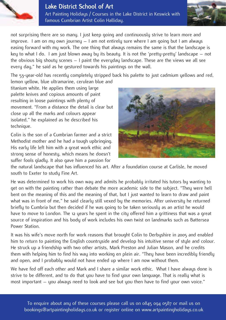

not surprising there are so many. I just keep going and continuously strive to learn more and improve. I am on my own journey – I am not entirely sure where I am going but I am always easing forward with my work. The one thing that always remains the same is that the landscape is key to what I do. I am just blown away by its beauty. It is not the 'pretty-pretty' landscape – not the obvious big shouty scenes – I paint the everyday landscape. These are the views we all see every day," he said as he gestured towards his paintings on the wall.

The 53-year-old has recently completely stripped back his palette to just cadmium yellows and red, lemon yellow, blue ultramarine, cerulean blue and

titanium white. He applies them using large palette knives and copious amounts of paint resulting in loose paintings with plenty of movement. "From a distance the detail is clear but close up all the marks and colours appear isolated," he explained as he described his technique.

Colin is the son of a Cumbrian farmer and a strict Methodist mother and he had a tough upbringing. His early life left him with a great work ethic and strong sense of honesty, which means he doesn't suffer fools gladly. It also gave him a passion for



the natural landscape that has influenced his art. After a foundation course at Carlisle, he moved south to Exeter to study Fine Art.

He was determined to work his own way and admits he probably irritated his tutors by wanting to get on with the painting rather than debate the more academic side to the subject. "They were hell bent on the meaning of this and the meaning of that, but I just wanted to learn to draw and paint what was in front of me," he said clearly still vexed by the memories. After university he returned briefly to Cumbria but then decided if he was going to be taken seriously as an artist he would have to move to London. The 12 years he spent in the city offered him a grittiness that was a great source of inspiration and his body of work includes his own twist on landmarks such as Battersea Power Station.

It was his wife's move north for work reasons that brought Colin to Derbyshire in 2005 and enabled him to return to painting the English countryside and develop his intuitive sense of style and colour. He struck up a friendship with two other artists, Mark Preston and Julian Mason, and he credits them with helping him to find his way into working en plein air. "They have been incredibly friendly and open, and I probably would not have ended up where I am now without them.

We have fed off each other and Mark and I share a similar work ethic. What I have always done is strive to be different, and to do that you have to find your own language. That is really what is most important – you always need to look and see but you then have to find your own voice."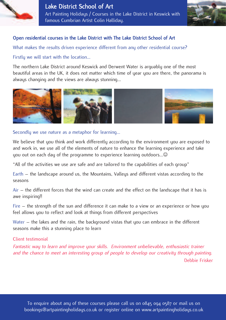



# Open residential courses in the Lake District with The Lake District School of Art

What makes the results driven experience different from any other residential course?

Firstly we will start with the location…

The northern Lake District around Keswick and Derwent Water is arguably one of the most beautiful areas in the UK, it does not matter which time of year you are there, the panorama is always changing and the views are always stunning…



Secondly we use nature as a metaphor for learning…

We believe that you think and work differently according to the environment you are exposed to and work in, we use all of the elements of nature to enhance the learning experience and take you out on each day of the programme to experience learning outdoors…

"All of the activities we use are safe and are tailored to the capabilities of each group"

Earth – the landscape around us, the Mountains, Valleus and different vistas according to the seasons

Air – the different forces that the wind can create and the effect on the landscape that it has is awe inspiring!!

Fire – the strength of the sun and difference it can make to a view or an experience or how you feel allows you to reflect and look at things from different perspectives

Water – the lakes and the rain, the background vistas that you can embrace in the different seasons make this a stunning place to learn

Client testimonial

Fantastic way to learn and improve your skills. Environment unbelievable, enthusiastic trainer and the chance to meet an interesting group of people to develop our creativity through painting. Debbie Frisker